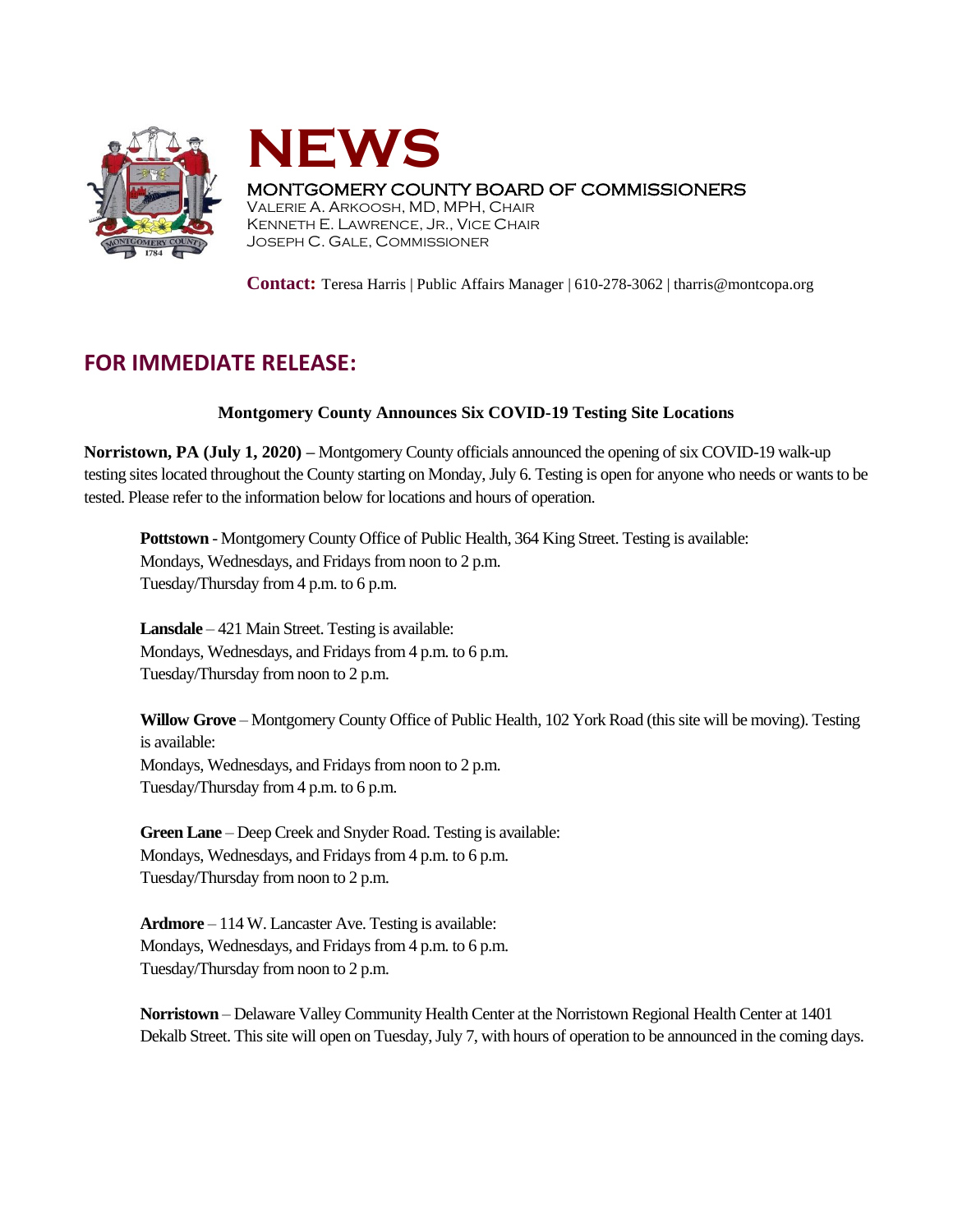



## MONTGOMERY COUNTY BOARD OF COMMISSIONERS

VALERIE A. ARKOOSH, MD, MPH, CHAIR KENNETH E. LAWRENCE, JR., VICE CHAIR JOSEPH C. GALE, COMMISSIONER

**Contact:** Teresa Harris | Public Affairs Manager | 610-278-3062 | tharris@montcopa.org

## **FOR IMMEDIATE RELEASE:**

## **Montgomery County Announces Six COVID-19 Testing Site Locations**

**Norristown, PA (July 1, 2020) –** Montgomery County officials announced the opening of six COVID-19 walk-up testing sites located throughout the County starting on Monday, July 6. Testing is open for anyone who needs or wants to be tested. Please refer to the information below for locations and hours of operation.

**Pottstown** - Montgomery County Office of Public Health, 364 King Street. Testing is available: Mondays, Wednesdays, and Fridays from noon to 2 p.m. Tuesday/Thursday from 4 p.m. to 6 p.m.

**Lansdale** – 421 Main Street. Testing is available: Mondays, Wednesdays, and Fridays from 4 p.m. to 6 p.m. Tuesday/Thursday from noon to 2 p.m.

**Willow Grove** – Montgomery County Office of Public Health, 102 York Road (this site will be moving). Testing is available: Mondays, Wednesdays, and Fridays from noon to 2 p.m. Tuesday/Thursday from 4 p.m. to 6 p.m.

**Green Lane** – Deep Creek and Snyder Road. Testing is available: Mondays, Wednesdays, and Fridays from 4 p.m. to 6 p.m. Tuesday/Thursday from noon to 2 p.m.

**Ardmore** – 114 W. Lancaster Ave. Testing is available: Mondays, Wednesdays, and Fridays from 4 p.m. to 6 p.m. Tuesday/Thursday from noon to 2 p.m.

**Norristown** – Delaware Valley Community Health Center at the Norristown Regional Health Center at 1401 Dekalb Street. This site will open on Tuesday, July 7, with hours of operation to be announced in the coming days.